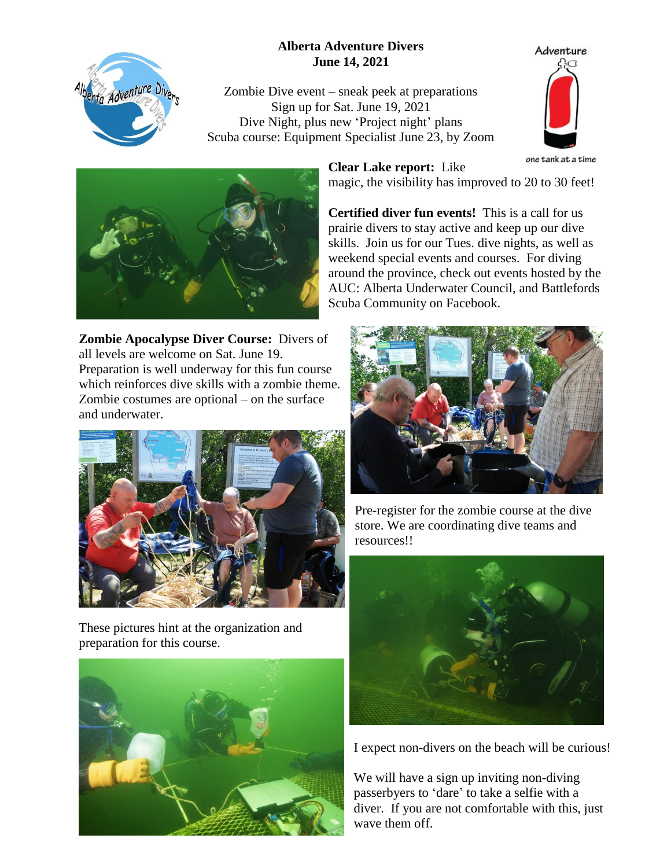## **Alberta Adventure Divers June 14, 2021**



Zombie Dive event – sneak peek at preparations Sign up for Sat. June 19, 2021 Dive Night, plus new 'Project night' plans Scuba course: Equipment Specialist June 23, by Zoom





**Clear Lake report:** Like

magic, the visibility has improved to 20 to 30 feet!

**Certified diver fun events!** This is a call for us prairie divers to stay active and keep up our dive skills. Join us for our Tues. dive nights, as well as weekend special events and courses. For diving around the province, check out events hosted by the AUC: Alberta Underwater Council, and Battlefords Scuba Community on Facebook.

**Zombie Apocalypse Diver Course:** Divers of all levels are welcome on Sat. June 19. Preparation is well underway for this fun course which reinforces dive skills with a zombie theme. Zombie costumes are optional – on the surface and underwater.



These pictures hint at the organization and preparation for this course.





Pre-register for the zombie course at the dive store. We are coordinating dive teams and resources!!



I expect non-divers on the beach will be curious!

We will have a sign up inviting non-diving passerbyers to 'dare' to take a selfie with a diver. If you are not comfortable with this, just wave them off.